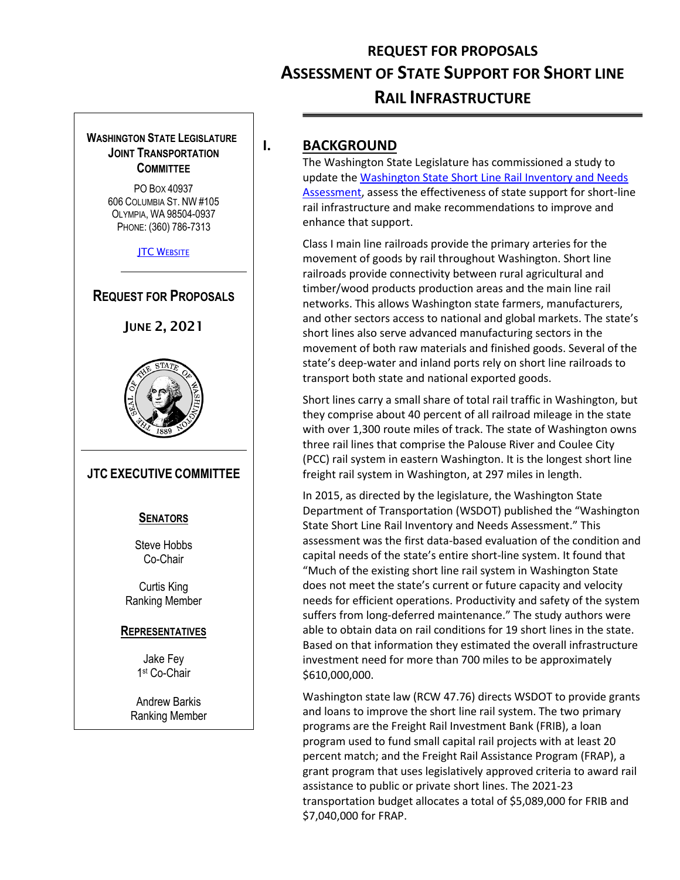# **REQUEST FOR PROPOSALS ASSESSMENT OF STATE SUPPORT FOR SHORT LINE RAIL INFRASTRUCTURE**

#### **WASHINGTON STATE LEGISLATURE JOINT TRANSPORTATION COMMITTEE**

PO BOX 40937 606 COLUMBIA ST. NW #105 OLYMPIA, WA 98504-0937 PHONE: (360) 786-7313

**JTC W[EBSITE](http://www.leg.wa.gov/JTC/)** 

#### **REQUEST FOR PROPOSALS**





#### **JTC EXECUTIVE COMMITTEE**

#### **SENATORS**

Steve Hobbs Co-Chair

Curtis King Ranking Member

#### **REPRESENTATIVES**

Jake Fey 1 st Co-Chair

Andrew Barkis Ranking Member

### **I. BACKGROUND**

The Washington State Legislature has commissioned a study to update the [Washington State Short Line Rail Inventory and Needs](https://wsdot.wa.gov/research/reports/fullreports/842.1.pdf)  [Assessment,](https://wsdot.wa.gov/research/reports/fullreports/842.1.pdf) assess the effectiveness of state support for short-line rail infrastructure and make recommendations to improve and enhance that support.

Class I main line railroads provide the primary arteries for the movement of goods by rail throughout Washington. Short line railroads provide connectivity between rural agricultural and timber/wood products production areas and the main line rail networks. This allows Washington state farmers, manufacturers, and other sectors access to national and global markets. The state's short lines also serve advanced manufacturing sectors in the movement of both raw materials and finished goods. Several of the state's deep-water and inland ports rely on short line railroads to transport both state and national exported goods.

Short lines carry a small share of total rail traffic in Washington, but they comprise about 40 percent of all railroad mileage in the state with over 1,300 route miles of track. The state of Washington owns three rail lines that comprise the Palouse River and Coulee City (PCC) rail system in eastern Washington. It is the longest short line freight rail system in Washington, at 297 miles in length.

In 2015, as directed by the legislature, the Washington State Department of Transportation (WSDOT) published the "Washington State Short Line Rail Inventory and Needs Assessment." This assessment was the first data-based evaluation of the condition and capital needs of the state's entire short-line system. It found that "Much of the existing short line rail system in Washington State does not meet the state's current or future capacity and velocity needs for efficient operations. Productivity and safety of the system suffers from long-deferred maintenance." The study authors were able to obtain data on rail conditions for 19 short lines in the state. Based on that information they estimated the overall infrastructure investment need for more than 700 miles to be approximately \$610,000,000.

Washington state law (RCW 47.76) directs WSDOT to provide grants and loans to improve the short line rail system. The two primary programs are the Freight Rail Investment Bank (FRIB), a loan program used to fund small capital rail projects with at least 20 percent match; and the Freight Rail Assistance Program (FRAP), a grant program that uses legislatively approved criteria to award rail assistance to public or private short lines. The 2021-23 transportation budget allocates a total of \$5,089,000 for FRIB and \$7,040,000 for FRAP.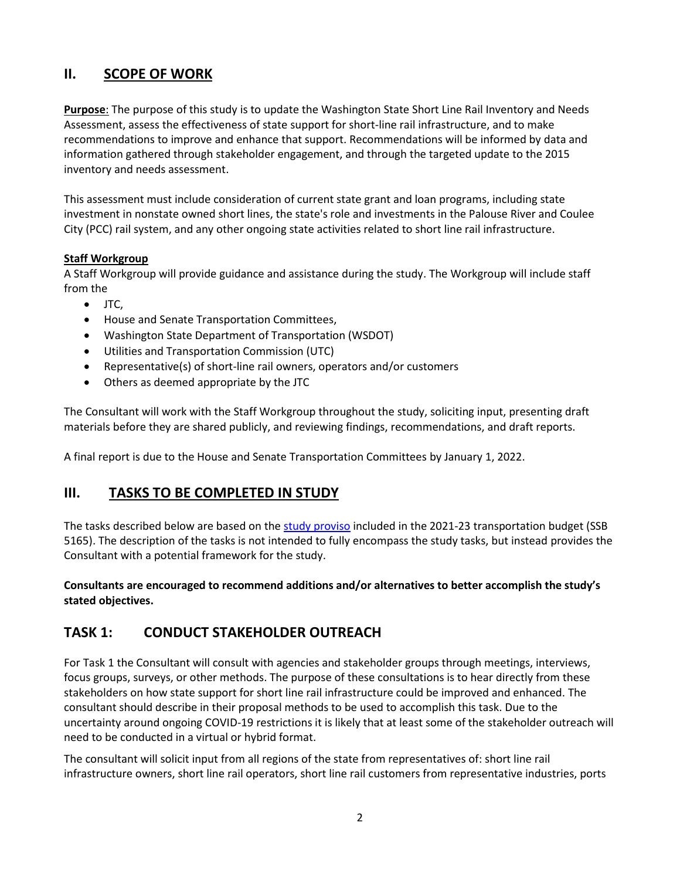# **II. SCOPE OF WORK**

**Purpose**: The purpose of this study is to update the Washington State Short Line Rail Inventory and Needs Assessment, assess the effectiveness of state support for short-line rail infrastructure, and to make recommendations to improve and enhance that support. Recommendations will be informed by data and information gathered through stakeholder engagement, and through the targeted update to the 2015 inventory and needs assessment.

This assessment must include consideration of current state grant and loan programs, including state investment in nonstate owned short lines, the state's role and investments in the Palouse River and Coulee City (PCC) rail system, and any other ongoing state activities related to short line rail infrastructure.

#### **Staff Workgroup**

A Staff Workgroup will provide guidance and assistance during the study. The Workgroup will include staff from the

- JTC,
- House and Senate Transportation Committees,
- Washington State Department of Transportation (WSDOT)
- Utilities and Transportation Commission (UTC)
- Representative(s) of short-line rail owners, operators and/or customers
- Others as deemed appropriate by the JTC

The Consultant will work with the Staff Workgroup throughout the study, soliciting input, presenting draft materials before they are shared publicly, and reviewing findings, recommendations, and draft reports.

A final report is due to the House and Senate Transportation Committees by January 1, 2022.

#### **III. TASKS TO BE COMPLETED IN STUDY**

The tasks described below are based on the [study proviso](#page-5-0) included in the 2021-23 transportation budget (SSB 5165). The description of the tasks is not intended to fully encompass the study tasks, but instead provides the Consultant with a potential framework for the study.

**Consultants are encouraged to recommend additions and/or alternatives to better accomplish the study's stated objectives.**

#### **TASK 1: CONDUCT STAKEHOLDER OUTREACH**

For Task 1 the Consultant will consult with agencies and stakeholder groups through meetings, interviews, focus groups, surveys, or other methods. The purpose of these consultations is to hear directly from these stakeholders on how state support for short line rail infrastructure could be improved and enhanced. The consultant should describe in their proposal methods to be used to accomplish this task. Due to the uncertainty around ongoing COVID-19 restrictions it is likely that at least some of the stakeholder outreach will need to be conducted in a virtual or hybrid format.

The consultant will solicit input from all regions of the state from representatives of: short line rail infrastructure owners, short line rail operators, short line rail customers from representative industries, ports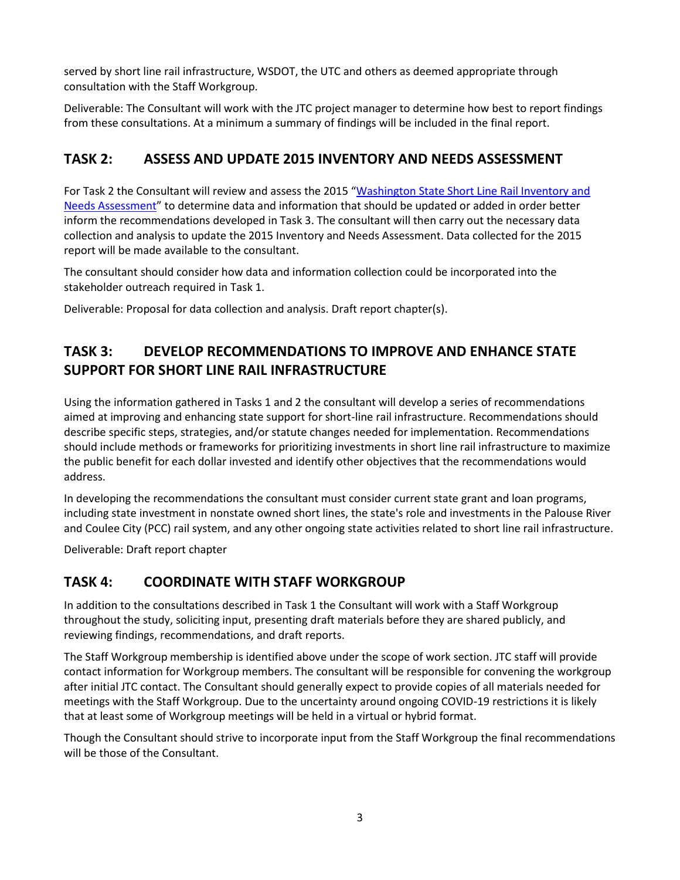served by short line rail infrastructure, WSDOT, the UTC and others as deemed appropriate through consultation with the Staff Workgroup.

Deliverable: The Consultant will work with the JTC project manager to determine how best to report findings from these consultations. At a minimum a summary of findings will be included in the final report.

# **TASK 2: ASSESS AND UPDATE 2015 INVENTORY AND NEEDS ASSESSMENT**

For Task 2 the Consultant will review and assess the 2015 "[Washington State Short Line Rail Inventory and](https://www.wsdot.wa.gov/research/reports/fullreports/842.1.pdf)  [Needs Assessment](https://www.wsdot.wa.gov/research/reports/fullreports/842.1.pdf)" to determine data and information that should be updated or added in order better inform the recommendations developed in Task 3. The consultant will then carry out the necessary data collection and analysis to update the 2015 Inventory and Needs Assessment. Data collected for the 2015 report will be made available to the consultant.

The consultant should consider how data and information collection could be incorporated into the stakeholder outreach required in Task 1.

Deliverable: Proposal for data collection and analysis. Draft report chapter(s).

# **TASK 3: DEVELOP RECOMMENDATIONS TO IMPROVE AND ENHANCE STATE SUPPORT FOR SHORT LINE RAIL INFRASTRUCTURE**

Using the information gathered in Tasks 1 and 2 the consultant will develop a series of recommendations aimed at improving and enhancing state support for short-line rail infrastructure. Recommendations should describe specific steps, strategies, and/or statute changes needed for implementation. Recommendations should include methods or frameworks for prioritizing investments in short line rail infrastructure to maximize the public benefit for each dollar invested and identify other objectives that the recommendations would address.

In developing the recommendations the consultant must consider current state grant and loan programs, including state investment in nonstate owned short lines, the state's role and investments in the Palouse River and Coulee City (PCC) rail system, and any other ongoing state activities related to short line rail infrastructure.

Deliverable: Draft report chapter

# **TASK 4: COORDINATE WITH STAFF WORKGROUP**

In addition to the consultations described in Task 1 the Consultant will work with a Staff Workgroup throughout the study, soliciting input, presenting draft materials before they are shared publicly, and reviewing findings, recommendations, and draft reports.

The Staff Workgroup membership is identified above under the scope of work section. JTC staff will provide contact information for Workgroup members. The consultant will be responsible for convening the workgroup after initial JTC contact. The Consultant should generally expect to provide copies of all materials needed for meetings with the Staff Workgroup. Due to the uncertainty around ongoing COVID-19 restrictions it is likely that at least some of Workgroup meetings will be held in a virtual or hybrid format.

Though the Consultant should strive to incorporate input from the Staff Workgroup the final recommendations will be those of the Consultant.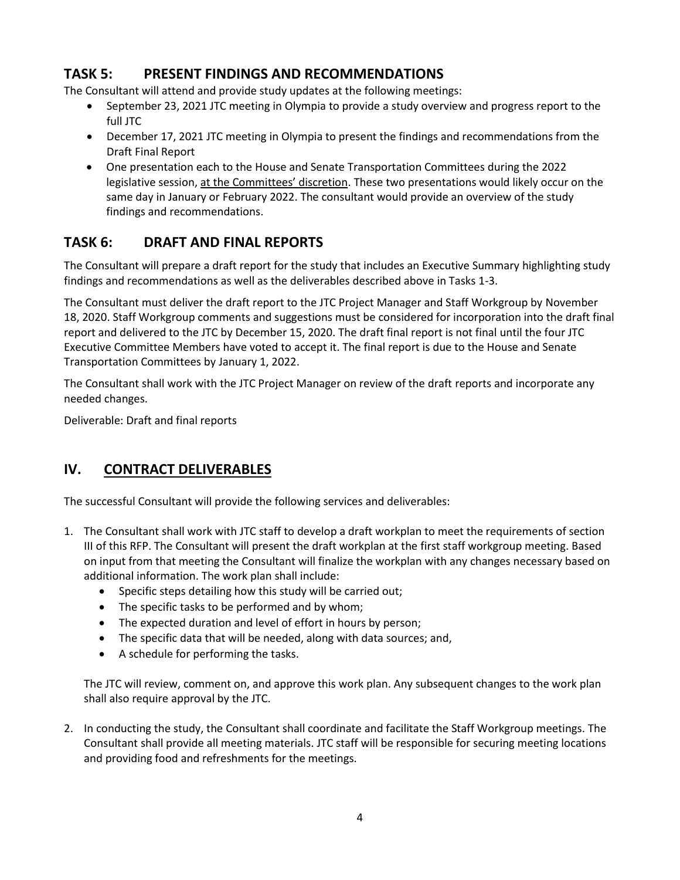# **TASK 5: PRESENT FINDINGS AND RECOMMENDATIONS**

The Consultant will attend and provide study updates at the following meetings:

- September 23, 2021 JTC meeting in Olympia to provide a study overview and progress report to the full JTC
- December 17, 2021 JTC meeting in Olympia to present the findings and recommendations from the Draft Final Report
- One presentation each to the House and Senate Transportation Committees during the 2022 legislative session, at the Committees' discretion. These two presentations would likely occur on the same day in January or February 2022. The consultant would provide an overview of the study findings and recommendations.

# **TASK 6: DRAFT AND FINAL REPORTS**

The Consultant will prepare a draft report for the study that includes an Executive Summary highlighting study findings and recommendations as well as the deliverables described above in Tasks 1-3.

The Consultant must deliver the draft report to the JTC Project Manager and Staff Workgroup by November 18, 2020. Staff Workgroup comments and suggestions must be considered for incorporation into the draft final report and delivered to the JTC by December 15, 2020. The draft final report is not final until the four JTC Executive Committee Members have voted to accept it. The final report is due to the House and Senate Transportation Committees by January 1, 2022.

The Consultant shall work with the JTC Project Manager on review of the draft reports and incorporate any needed changes.

Deliverable: Draft and final reports

#### **IV. CONTRACT DELIVERABLES**

The successful Consultant will provide the following services and deliverables:

- 1. The Consultant shall work with JTC staff to develop a draft workplan to meet the requirements of section III of this RFP. The Consultant will present the draft workplan at the first staff workgroup meeting. Based on input from that meeting the Consultant will finalize the workplan with any changes necessary based on additional information. The work plan shall include:
	- Specific steps detailing how this study will be carried out;
	- The specific tasks to be performed and by whom;
	- The expected duration and level of effort in hours by person;
	- The specific data that will be needed, along with data sources; and,
	- A schedule for performing the tasks.

The JTC will review, comment on, and approve this work plan. Any subsequent changes to the work plan shall also require approval by the JTC.

2. In conducting the study, the Consultant shall coordinate and facilitate the Staff Workgroup meetings. The Consultant shall provide all meeting materials. JTC staff will be responsible for securing meeting locations and providing food and refreshments for the meetings.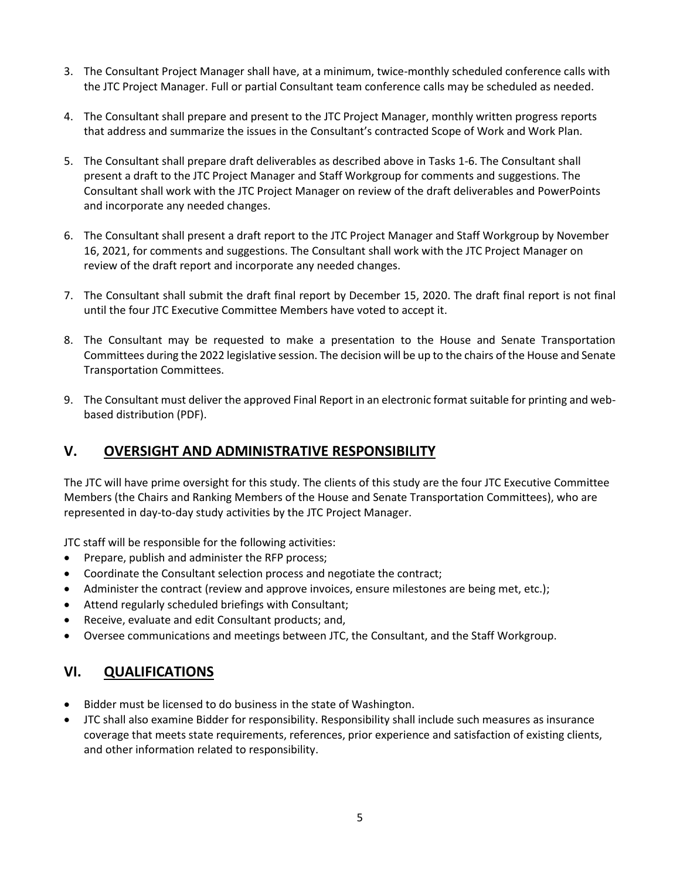- 3. The Consultant Project Manager shall have, at a minimum, twice-monthly scheduled conference calls with the JTC Project Manager. Full or partial Consultant team conference calls may be scheduled as needed.
- 4. The Consultant shall prepare and present to the JTC Project Manager, monthly written progress reports that address and summarize the issues in the Consultant's contracted Scope of Work and Work Plan.
- 5. The Consultant shall prepare draft deliverables as described above in Tasks 1-6. The Consultant shall present a draft to the JTC Project Manager and Staff Workgroup for comments and suggestions. The Consultant shall work with the JTC Project Manager on review of the draft deliverables and PowerPoints and incorporate any needed changes.
- 6. The Consultant shall present a draft report to the JTC Project Manager and Staff Workgroup by November 16, 2021, for comments and suggestions. The Consultant shall work with the JTC Project Manager on review of the draft report and incorporate any needed changes.
- 7. The Consultant shall submit the draft final report by December 15, 2020. The draft final report is not final until the four JTC Executive Committee Members have voted to accept it.
- 8. The Consultant may be requested to make a presentation to the House and Senate Transportation Committees during the 2022 legislative session. The decision will be up to the chairs of the House and Senate Transportation Committees.
- 9. The Consultant must deliver the approved Final Report in an electronic format suitable for printing and webbased distribution (PDF).

#### **V. OVERSIGHT AND ADMINISTRATIVE RESPONSIBILITY**

The JTC will have prime oversight for this study. The clients of this study are the four JTC Executive Committee Members (the Chairs and Ranking Members of the House and Senate Transportation Committees), who are represented in day-to-day study activities by the JTC Project Manager.

JTC staff will be responsible for the following activities:

- Prepare, publish and administer the RFP process;
- Coordinate the Consultant selection process and negotiate the contract;
- Administer the contract (review and approve invoices, ensure milestones are being met, etc.);
- Attend regularly scheduled briefings with Consultant;
- Receive, evaluate and edit Consultant products; and,
- Oversee communications and meetings between JTC, the Consultant, and the Staff Workgroup.

#### **VI. QUALIFICATIONS**

- Bidder must be licensed to do business in the state of Washington.
- JTC shall also examine Bidder for responsibility. Responsibility shall include such measures as insurance coverage that meets state requirements, references, prior experience and satisfaction of existing clients, and other information related to responsibility.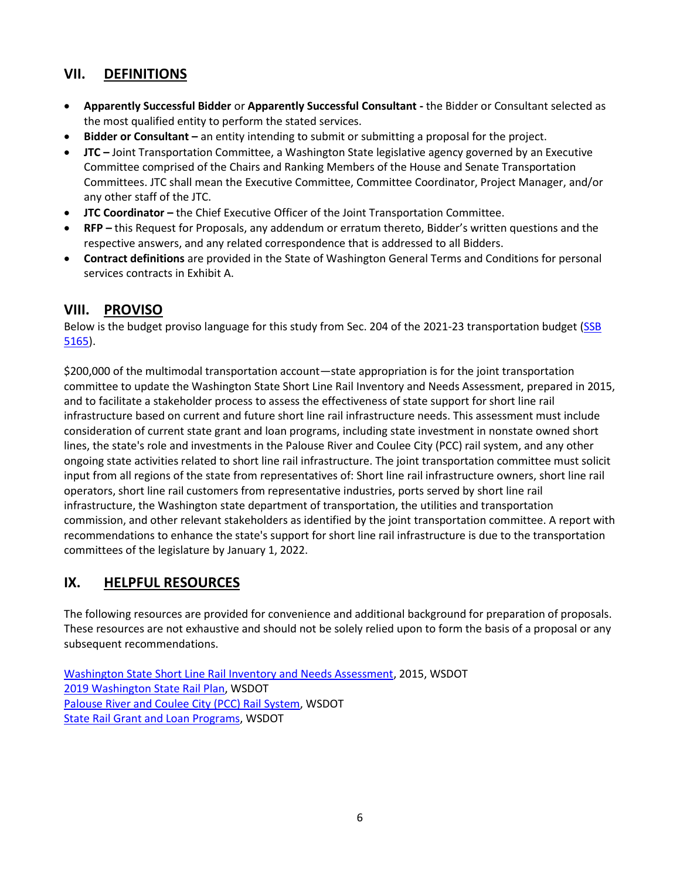# **VII. DEFINITIONS**

- **Apparently Successful Bidder** or **Apparently Successful Consultant -** the Bidder or Consultant selected as the most qualified entity to perform the stated services.
- **Bidder or Consultant –** an entity intending to submit or submitting a proposal for the project.
- **JTC –** Joint Transportation Committee, a Washington State legislative agency governed by an Executive Committee comprised of the Chairs and Ranking Members of the House and Senate Transportation Committees. JTC shall mean the Executive Committee, Committee Coordinator, Project Manager, and/or any other staff of the JTC.
- **JTC Coordinator –** the Chief Executive Officer of the Joint Transportation Committee.
- **RFP –** this Request for Proposals, any addendum or erratum thereto, Bidder's written questions and the respective answers, and any related correspondence that is addressed to all Bidders.
- **Contract definitions** are provided in the State of Washington General Terms and Conditions for personal services contracts in Exhibit A.

# <span id="page-5-0"></span>**VIII. PROVISO**

Below is the budget proviso language for this study from Sec. 204 of the 2021-23 transportation budget (SSB [5165\)](http://lawfilesext.leg.wa.gov/biennium/2021-22/Pdf/Bills/Session%20Laws/Senate/5165-S.SL.pdf?q=20210528122858).

\$200,000 of the multimodal transportation account—state appropriation is for the joint transportation committee to update the Washington State Short Line Rail Inventory and Needs Assessment, prepared in 2015, and to facilitate a stakeholder process to assess the effectiveness of state support for short line rail infrastructure based on current and future short line rail infrastructure needs. This assessment must include consideration of current state grant and loan programs, including state investment in nonstate owned short lines, the state's role and investments in the Palouse River and Coulee City (PCC) rail system, and any other ongoing state activities related to short line rail infrastructure. The joint transportation committee must solicit input from all regions of the state from representatives of: Short line rail infrastructure owners, short line rail operators, short line rail customers from representative industries, ports served by short line rail infrastructure, the Washington state department of transportation, the utilities and transportation commission, and other relevant stakeholders as identified by the joint transportation committee. A report with recommendations to enhance the state's support for short line rail infrastructure is due to the transportation committees of the legislature by January 1, 2022.

# **IX. HELPFUL RESOURCES**

The following resources are provided for convenience and additional background for preparation of proposals. These resources are not exhaustive and should not be solely relied upon to form the basis of a proposal or any subsequent recommendations.

[Washington State Short Line Rail Inventory and Needs Assessment,](https://www.wsdot.wa.gov/research/reports/fullreports/842.1.pdf) 2015, WSDOT [2019 Washington State Rail Plan,](https://wsdot.wa.gov/rail/state-rail-plan/home) WSDOT [Palouse River and Coulee City \(PCC\) Rail System,](https://wsdot.wa.gov/freight/rail/pcc) WSDOT [State Rail Grant and Loan Programs,](https://wsdot.wa.gov/Freight/Rail/GrantandLoanPrograms.htm) WSDOT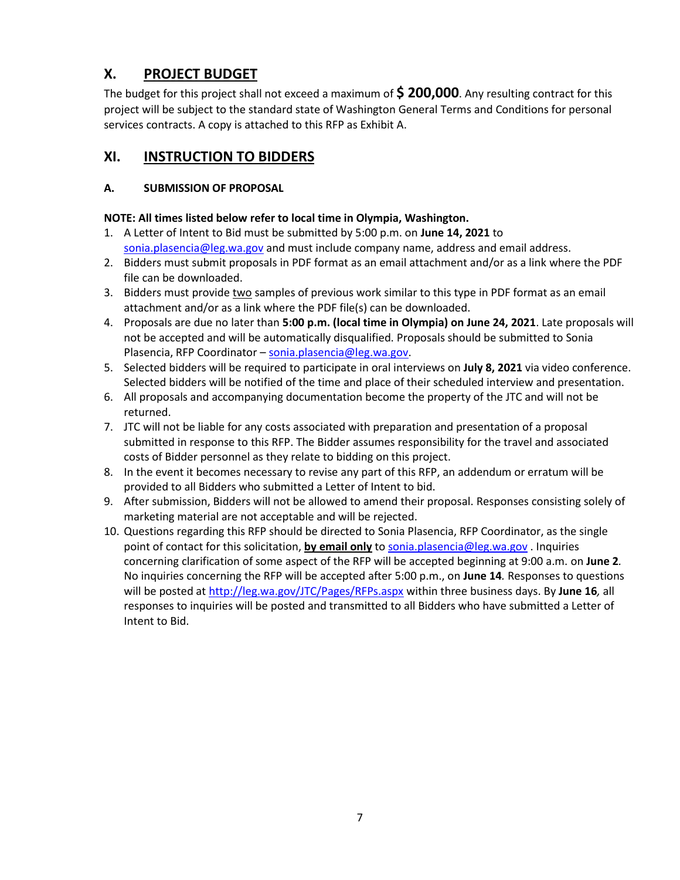# **X. PROJECT BUDGET**

The budget for this project shall not exceed a maximum of **\$ 200,000**. Any resulting contract for this project will be subject to the standard state of Washington General Terms and Conditions for personal services contracts. A copy is attached to this RFP as Exhibit A.

# **XI. INSTRUCTION TO BIDDERS**

#### **A. SUBMISSION OF PROPOSAL**

#### **NOTE: All times listed below refer to local time in Olympia, Washington.**

- 1. A Letter of Intent to Bid must be submitted by 5:00 p.m. on **June 14, 2021** to [sonia.plasencia@leg.wa.gov](mailto:sonia.plasencia@leg.wa.gov) and must include company name, address and email address.
- 2. Bidders must submit proposals in PDF format as an email attachment and/or as a link where the PDF file can be downloaded.
- 3. Bidders must provide two samples of previous work similar to this type in PDF format as an email attachment and/or as a link where the PDF file(s) can be downloaded.
- 4. Proposals are due no later than **5:00 p.m. (local time in Olympia) on June 24, 2021**. Late proposals will not be accepted and will be automatically disqualified. Proposals should be submitted to Sonia Plasencia, RFP Coordinator - [sonia.plasencia@leg.wa.gov.](mailto:sonia.plasencia@leg.wa.gov)
- 5. Selected bidders will be required to participate in oral interviews on **July 8, 2021** via video conference. Selected bidders will be notified of the time and place of their scheduled interview and presentation.
- 6. All proposals and accompanying documentation become the property of the JTC and will not be returned.
- 7. JTC will not be liable for any costs associated with preparation and presentation of a proposal submitted in response to this RFP. The Bidder assumes responsibility for the travel and associated costs of Bidder personnel as they relate to bidding on this project.
- 8. In the event it becomes necessary to revise any part of this RFP, an addendum or erratum will be provided to all Bidders who submitted a Letter of Intent to bid.
- 9. After submission, Bidders will not be allowed to amend their proposal. Responses consisting solely of marketing material are not acceptable and will be rejected.
- 10. Questions regarding this RFP should be directed to Sonia Plasencia, RFP Coordinator, as the single point of contact for this solicitation, **by email only** t[o sonia.plasencia@leg.wa.gov](mailto:sonia.plasencia@leg.wa.gov) . Inquiries concerning clarification of some aspect of the RFP will be accepted beginning at 9:00 a.m. on **June 2***.* No inquiries concerning the RFP will be accepted after 5:00 p.m., on **June 14***.* Responses to questions will be posted at<http://leg.wa.gov/JTC/Pages/RFPs.aspx> within three business days. By **June 16***,* all responses to inquiries will be posted and transmitted to all Bidders who have submitted a Letter of Intent to Bid.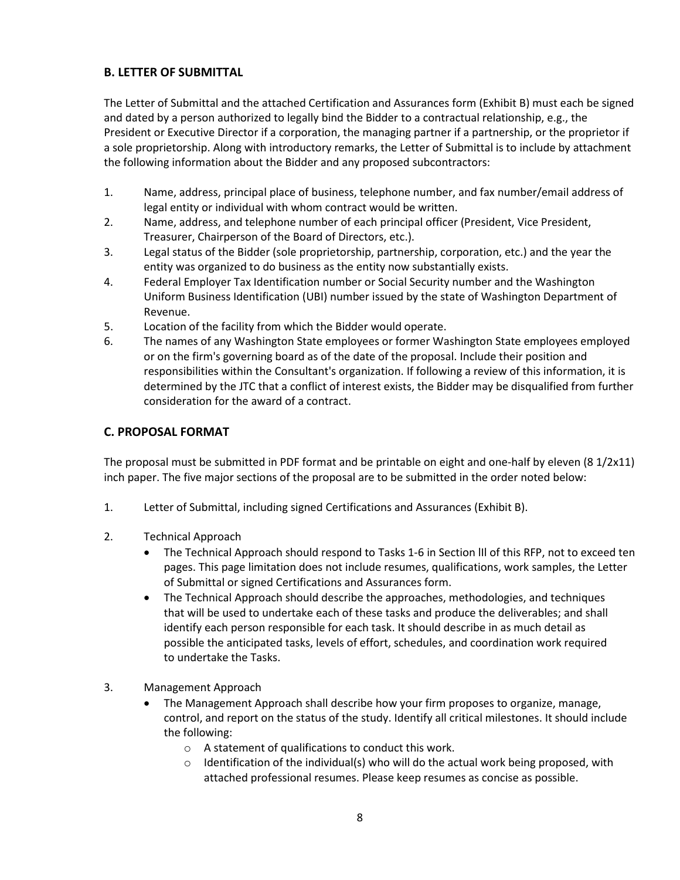#### **B. LETTER OF SUBMITTAL**

The Letter of Submittal and the attached Certification and Assurances form (Exhibit B) must each be signed and dated by a person authorized to legally bind the Bidder to a contractual relationship, e.g., the President or Executive Director if a corporation, the managing partner if a partnership, or the proprietor if a sole proprietorship. Along with introductory remarks, the Letter of Submittal is to include by attachment the following information about the Bidder and any proposed subcontractors:

- 1. Name, address, principal place of business, telephone number, and fax number/email address of legal entity or individual with whom contract would be written.
- 2. Name, address, and telephone number of each principal officer (President, Vice President, Treasurer, Chairperson of the Board of Directors, etc.).
- 3. Legal status of the Bidder (sole proprietorship, partnership, corporation, etc.) and the year the entity was organized to do business as the entity now substantially exists.
- 4. Federal Employer Tax Identification number or Social Security number and the Washington Uniform Business Identification (UBI) number issued by the state of Washington Department of Revenue.
- 5. Location of the facility from which the Bidder would operate.
- 6. The names of any Washington State employees or former Washington State employees employed or on the firm's governing board as of the date of the proposal. Include their position and responsibilities within the Consultant's organization. If following a review of this information, it is determined by the JTC that a conflict of interest exists, the Bidder may be disqualified from further consideration for the award of a contract.

#### **C. PROPOSAL FORMAT**

The proposal must be submitted in PDF format and be printable on eight and one-half by eleven (8 1/2x11) inch paper. The five major sections of the proposal are to be submitted in the order noted below:

- 1. Letter of Submittal, including signed Certifications and Assurances (Exhibit B).
- 2. Technical Approach
	- The Technical Approach should respond to Tasks 1-6 in Section lIl of this RFP, not to exceed ten pages. This page limitation does not include resumes, qualifications, work samples, the Letter of Submittal or signed Certifications and Assurances form.
	- The Technical Approach should describe the approaches, methodologies, and techniques that will be used to undertake each of these tasks and produce the deliverables; and shall identify each person responsible for each task. It should describe in as much detail as possible the anticipated tasks, levels of effort, schedules, and coordination work required to undertake the Tasks.
- 3. Management Approach
	- The Management Approach shall describe how your firm proposes to organize, manage, control, and report on the status of the study. Identify all critical milestones. It should include the following:
		- o A statement of qualifications to conduct this work.
		- $\circ$  Identification of the individual(s) who will do the actual work being proposed, with attached professional resumes. Please keep resumes as concise as possible.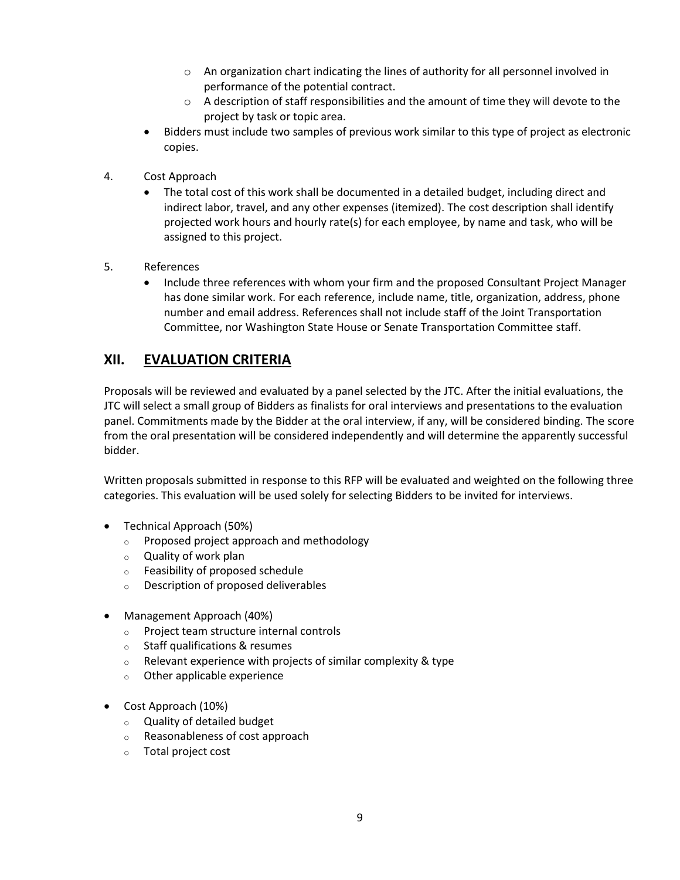- o An organization chart indicating the lines of authority for all personnel involved in performance of the potential contract.
- $\circ$  A description of staff responsibilities and the amount of time they will devote to the project by task or topic area.
- Bidders must include two samples of previous work similar to this type of project as electronic copies.
- 4. Cost Approach
	- The total cost of this work shall be documented in a detailed budget, including direct and indirect labor, travel, and any other expenses (itemized). The cost description shall identify projected work hours and hourly rate(s) for each employee, by name and task, who will be assigned to this project.
- 5. References
	- Include three references with whom your firm and the proposed Consultant Project Manager has done similar work. For each reference, include name, title, organization, address, phone number and email address. References shall not include staff of the Joint Transportation Committee, nor Washington State House or Senate Transportation Committee staff.

#### **XII. EVALUATION CRITERIA**

Proposals will be reviewed and evaluated by a panel selected by the JTC. After the initial evaluations, the JTC will select a small group of Bidders as finalists for oral interviews and presentations to the evaluation panel. Commitments made by the Bidder at the oral interview, if any, will be considered binding. The score from the oral presentation will be considered independently and will determine the apparently successful bidder.

Written proposals submitted in response to this RFP will be evaluated and weighted on the following three categories. This evaluation will be used solely for selecting Bidders to be invited for interviews.

- Technical Approach (50%)
	- o Proposed project approach and methodology
	- o Quality of work plan
	- o Feasibility of proposed schedule
	- o Description of proposed deliverables
- Management Approach (40%)
	- o Project team structure internal controls
	- o Staff qualifications & resumes
	- $\circ$  Relevant experience with projects of similar complexity & type
	- o Other applicable experience
- Cost Approach (10%)
	- o Quality of detailed budget
	- o Reasonableness of cost approach
	- o Total project cost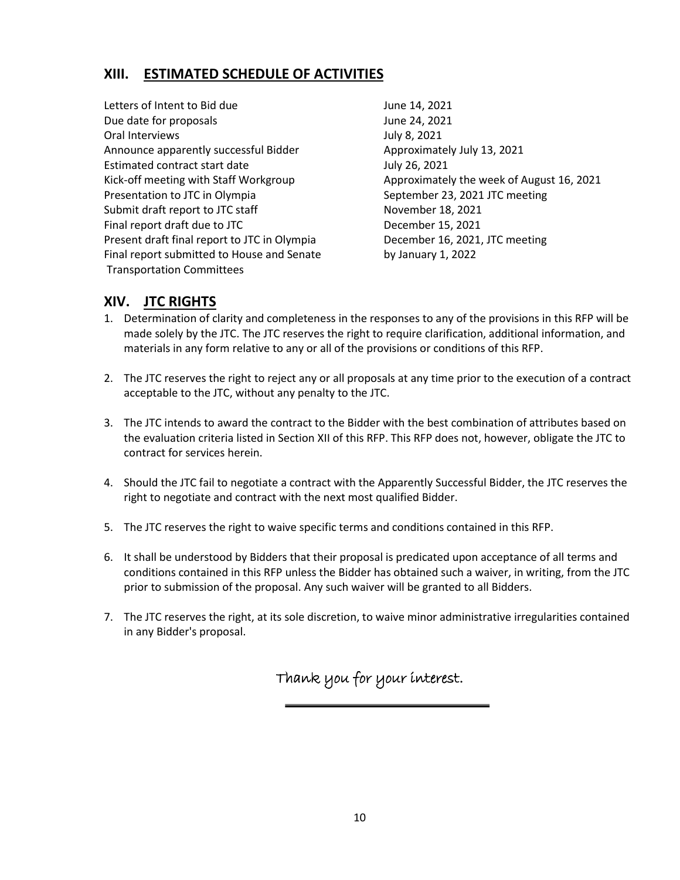# **XIII. ESTIMATED SCHEDULE OF ACTIVITIES**

Letters of Intent to Bid due June 14, 2021 Due date for proposals and the set of the United States of the United States June 24, 2021 Oral Interviews and the contract of the United States of the United States of the United States of the United States of the United States of the United States of the United States of the United States of the United States Announce apparently successful Bidder **Approximately July 13, 2021** Estimated contract start date July 26, 2021 Kick-off meeting with Staff Workgroup **Approximately the week of August 16, 2021** Presentation to JTC in Olympia September 23, 2021 JTC meeting Submit draft report to JTC staff November 18, 2021 Final report draft due to JTC December 15, 2021 Present draft final report to JTC in Olympia December 16, 2021, JTC meeting Final report submitted to House and Senate by January 1, 2022 Transportation Committees

# **XIV. JTC RIGHTS**

- 1. Determination of clarity and completeness in the responses to any of the provisions in this RFP will be made solely by the JTC. The JTC reserves the right to require clarification, additional information, and materials in any form relative to any or all of the provisions or conditions of this RFP.
- 2. The JTC reserves the right to reject any or all proposals at any time prior to the execution of a contract acceptable to the JTC, without any penalty to the JTC.
- 3. The JTC intends to award the contract to the Bidder with the best combination of attributes based on the evaluation criteria listed in Section XII of this RFP. This RFP does not, however, obligate the JTC to contract for services herein.
- 4. Should the JTC fail to negotiate a contract with the Apparently Successful Bidder, the JTC reserves the right to negotiate and contract with the next most qualified Bidder.
- 5. The JTC reserves the right to waive specific terms and conditions contained in this RFP.
- 6. It shall be understood by Bidders that their proposal is predicated upon acceptance of all terms and conditions contained in this RFP unless the Bidder has obtained such a waiver, in writing, from the JTC prior to submission of the proposal. Any such waiver will be granted to all Bidders.
- 7. The JTC reserves the right, at its sole discretion, to waive minor administrative irregularities contained in any Bidder's proposal.

Thank you for your interest.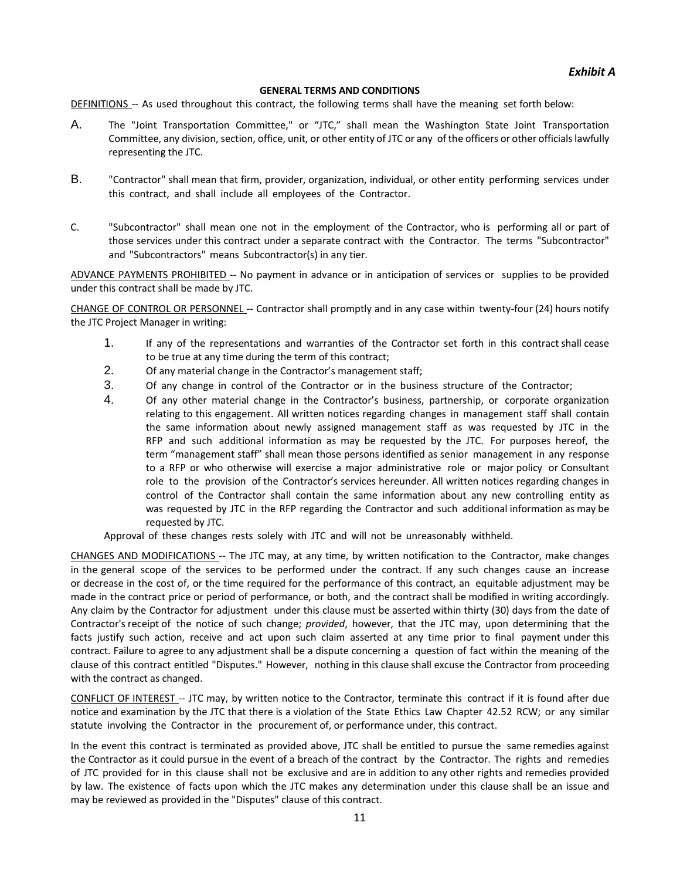#### **GENERAL TERMS AND CONDITIONS**

DEFINITIONS -- As used throughout this contract, the following terms shall have the meaning set forth below:

- A. The "Joint Transportation Committee," or "JTC," shall mean the Washington State Joint Transportation Committee, any division, section, office, unit, or other entity of JTC or any of the officers or other officialslawfully representing the JTC.
- B. "Contractor" shall mean that firm, provider, organization, individual, or other entity performing services under this contract, and shall include all employees of the Contractor.
- C. "Subcontractor" shall mean one not in the employment of the Contractor, who is performing all or part of those services under this contract under a separate contract with the Contractor. The terms "Subcontractor" and "Subcontractors" means Subcontractor(s) in any tier.

ADVANCE PAYMENTS PROHIBITED -- No payment in advance or in anticipation of services or supplies to be provided under this contract shall be made by JTC.

CHANGE OF CONTROL OR PERSONNEL -- Contractor shall promptly and in any case within twenty-four (24) hours notify the JTC Project Manager in writing:

- 1. If any of the representations and warranties of the Contractor set forth in this contract shall cease to be true at any time during the term of this contract;
- 2. Of any material change in the Contractor's management staff;
- 3. Of any change in control of the Contractor or in the business structure of the Contractor;
- 4. Of any other material change in the Contractor's business, partnership, or corporate organization relating to this engagement. All written notices regarding changes in management staff shall contain the same information about newly assigned management staff as was requested by JTC in the RFP and such additional information as may be requested by the JTC. For purposes hereof, the term "management staff" shall mean those persons identified as senior management in any response to a RFP or who otherwise will exercise a major administrative role or major policy or Consultant role to the provision of the Contractor's services hereunder. All written notices regarding changes in control of the Contractor shall contain the same information about any new controlling entity as was requested by JTC in the RFP regarding the Contractor and such additional information as may be requested by JTC.

Approval of these changes rests solely with JTC and will not be unreasonably withheld.

CHANGES AND MODIFICATIONS -- The JTC may, at any time, by written notification to the Contractor, make changes in the general scope of the services to be performed under the contract. If any such changes cause an increase or decrease in the cost of, or the time required for the performance of this contract, an equitable adjustment may be made in the contract price or period of performance, or both, and the contract shall be modified in writing accordingly. Any claim by the Contractor for adjustment under this clause must be asserted within thirty (30) days from the date of Contractor's receipt of the notice of such change; *provided*, however, that the JTC may, upon determining that the facts justify such action, receive and act upon such claim asserted at any time prior to final payment under this contract. Failure to agree to any adjustment shall be a dispute concerning a question of fact within the meaning of the clause of this contract entitled "Disputes." However, nothing in this clause shall excuse the Contractor from proceeding with the contract as changed.

CONFLICT OF INTEREST -- JTC may, by written notice to the Contractor, terminate this contract if it is found after due notice and examination by the JTC that there is a violation of the State Ethics Law Chapter 42.52 RCW; or any similar statute involving the Contractor in the procurement of, or performance under, this contract.

In the event this contract is terminated as provided above, JTC shall be entitled to pursue the same remedies against the Contractor as it could pursue in the event of a breach of the contract by the Contractor. The rights and remedies of JTC provided for in this clause shall not be exclusive and are in addition to any other rights and remedies provided by law. The existence of facts upon which the JTC makes any determination under this clause shall be an issue and may be reviewed as provided in the "Disputes" clause of this contract.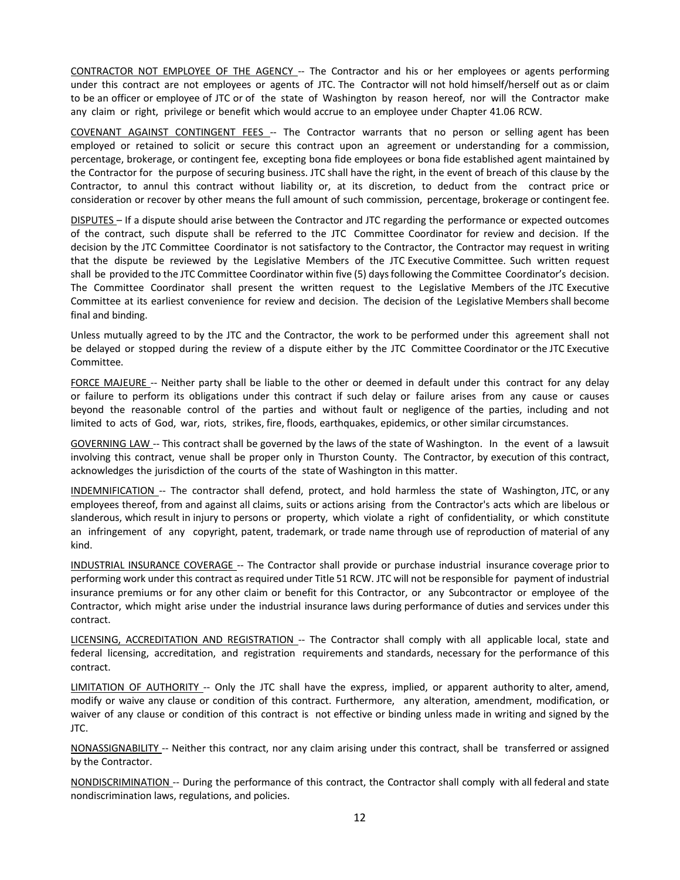CONTRACTOR NOT EMPLOYEE OF THE AGENCY -- The Contractor and his or her employees or agents performing under this contract are not employees or agents of JTC. The Contractor will not hold himself/herself out as or claim to be an officer or employee of JTC or of the state of Washington by reason hereof, nor will the Contractor make any claim or right, privilege or benefit which would accrue to an employee under Chapter 41.06 RCW.

COVENANT AGAINST CONTINGENT FEES -- The Contractor warrants that no person or selling agent has been employed or retained to solicit or secure this contract upon an agreement or understanding for a commission, percentage, brokerage, or contingent fee, excepting bona fide employees or bona fide established agent maintained by the Contractor for the purpose of securing business. JTC shall have the right, in the event of breach of this clause by the Contractor, to annul this contract without liability or, at its discretion, to deduct from the contract price or consideration or recover by other means the full amount of such commission, percentage, brokerage or contingent fee.

DISPUTES – If a dispute should arise between the Contractor and JTC regarding the performance or expected outcomes of the contract, such dispute shall be referred to the JTC Committee Coordinator for review and decision. If the decision by the JTC Committee Coordinator is not satisfactory to the Contractor, the Contractor may request in writing that the dispute be reviewed by the Legislative Members of the JTC Executive Committee. Such written request shall be provided to the JTC Committee Coordinator within five (5) daysfollowing the Committee Coordinator's decision. The Committee Coordinator shall present the written request to the Legislative Members of the JTC Executive Committee at its earliest convenience for review and decision. The decision of the Legislative Members shall become final and binding.

Unless mutually agreed to by the JTC and the Contractor, the work to be performed under this agreement shall not be delayed or stopped during the review of a dispute either by the JTC Committee Coordinator or the JTC Executive Committee.

FORCE MAJEURE -- Neither party shall be liable to the other or deemed in default under this contract for any delay or failure to perform its obligations under this contract if such delay or failure arises from any cause or causes beyond the reasonable control of the parties and without fault or negligence of the parties, including and not limited to acts of God, war, riots, strikes, fire, floods, earthquakes, epidemics, or other similar circumstances.

GOVERNING LAW -- This contract shall be governed by the laws of the state of Washington. In the event of a lawsuit involving this contract, venue shall be proper only in Thurston County. The Contractor, by execution of this contract, acknowledges the jurisdiction of the courts of the state of Washington in this matter.

INDEMNIFICATION -- The contractor shall defend, protect, and hold harmless the state of Washington, JTC, or any employees thereof, from and against all claims, suits or actions arising from the Contractor's acts which are libelous or slanderous, which result in injury to persons or property, which violate a right of confidentiality, or which constitute an infringement of any copyright, patent, trademark, or trade name through use of reproduction of material of any kind.

INDUSTRIAL INSURANCE COVERAGE -- The Contractor shall provide or purchase industrial insurance coverage prior to performing work under this contract as required under Title 51 RCW. JTC will not be responsible for payment of industrial insurance premiums or for any other claim or benefit for this Contractor, or any Subcontractor or employee of the Contractor, which might arise under the industrial insurance laws during performance of duties and services under this contract.

LICENSING, ACCREDITATION AND REGISTRATION -- The Contractor shall comply with all applicable local, state and federal licensing, accreditation, and registration requirements and standards, necessary for the performance of this contract.

LIMITATION OF AUTHORITY -- Only the JTC shall have the express, implied, or apparent authority to alter, amend, modify or waive any clause or condition of this contract. Furthermore, any alteration, amendment, modification, or waiver of any clause or condition of this contract is not effective or binding unless made in writing and signed by the JTC.

NONASSIGNABILITY -- Neither this contract, nor any claim arising under this contract, shall be transferred or assigned by the Contractor.

NONDISCRIMINATION -- During the performance of this contract, the Contractor shall comply with all federal and state nondiscrimination laws, regulations, and policies.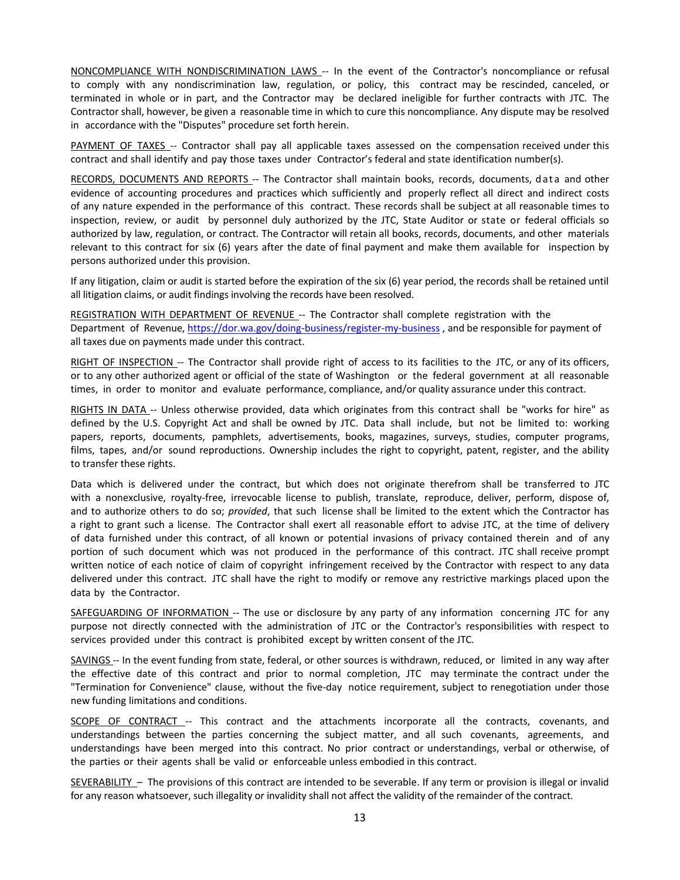NONCOMPLIANCE WITH NONDISCRIMINATION LAWS -- In the event of the Contractor's noncompliance or refusal to comply with any nondiscrimination law, regulation, or policy, this contract may be rescinded, canceled, or terminated in whole or in part, and the Contractor may be declared ineligible for further contracts with JTC. The Contractor shall, however, be given a reasonable time in which to cure this noncompliance. Any dispute may be resolved in accordance with the "Disputes" procedure set forth herein.

PAYMENT OF TAXES -- Contractor shall pay all applicable taxes assessed on the compensation received under this contract and shall identify and pay those taxes under Contractor's federal and state identification number(s).

RECORDS, DOCUMENTS AND REPORTS -- The Contractor shall maintain books, records, documents, data and other evidence of accounting procedures and practices which sufficiently and properly reflect all direct and indirect costs of any nature expended in the performance of this contract. These records shall be subject at all reasonable times to inspection, review, or audit by personnel duly authorized by the JTC, State Auditor or state or federal officials so authorized by law, regulation, or contract. The Contractor will retain all books, records, documents, and other materials relevant to this contract for six (6) years after the date of final payment and make them available for inspection by persons authorized under this provision.

If any litigation, claim or audit is started before the expiration of the six (6) year period, the records shall be retained until all litigation claims, or audit findings involving the records have been resolved.

REGISTRATION WITH DEPARTMENT OF REVENUE -- The Contractor shall complete registration with the Department of Revenue, <https://dor.wa.gov/doing-business/register-my-business>, and be responsible for payment of all taxes due on payments made under this contract.

RIGHT OF INSPECTION -- The Contractor shall provide right of access to its facilities to the JTC, or any of its officers, or to any other authorized agent or official of the state of Washington or the federal government at all reasonable times, in order to monitor and evaluate performance, compliance, and/or quality assurance under this contract.

RIGHTS IN DATA -- Unless otherwise provided, data which originates from this contract shall be "works for hire" as defined by the U.S. Copyright Act and shall be owned by JTC. Data shall include, but not be limited to: working papers, reports, documents, pamphlets, advertisements, books, magazines, surveys, studies, computer programs, films, tapes, and/or sound reproductions. Ownership includes the right to copyright, patent, register, and the ability to transfer these rights.

Data which is delivered under the contract, but which does not originate therefrom shall be transferred to JTC with a nonexclusive, royalty-free, irrevocable license to publish, translate, reproduce, deliver, perform, dispose of, and to authorize others to do so; *provided*, that such license shall be limited to the extent which the Contractor has a right to grant such a license. The Contractor shall exert all reasonable effort to advise JTC, at the time of delivery of data furnished under this contract, of all known or potential invasions of privacy contained therein and of any portion of such document which was not produced in the performance of this contract. JTC shall receive prompt written notice of each notice of claim of copyright infringement received by the Contractor with respect to any data delivered under this contract. JTC shall have the right to modify or remove any restrictive markings placed upon the data by the Contractor.

SAFEGUARDING OF INFORMATION -- The use or disclosure by any party of any information concerning JTC for any purpose not directly connected with the administration of JTC or the Contractor's responsibilities with respect to services provided under this contract is prohibited except by written consent of the JTC.

SAVINGS -- In the event funding from state, federal, or other sources is withdrawn, reduced, or limited in any way after the effective date of this contract and prior to normal completion, JTC may terminate the contract under the "Termination for Convenience" clause, without the five-day notice requirement, subject to renegotiation under those new funding limitations and conditions.

SCOPE OF CONTRACT -- This contract and the attachments incorporate all the contracts, covenants, and understandings between the parties concerning the subject matter, and all such covenants, agreements, and understandings have been merged into this contract. No prior contract or understandings, verbal or otherwise, of the parties or their agents shall be valid or enforceable unless embodied in this contract.

SEVERABILITY – The provisions of this contract are intended to be severable. If any term or provision is illegal or invalid for any reason whatsoever, such illegality or invalidity shall not affect the validity of the remainder of the contract.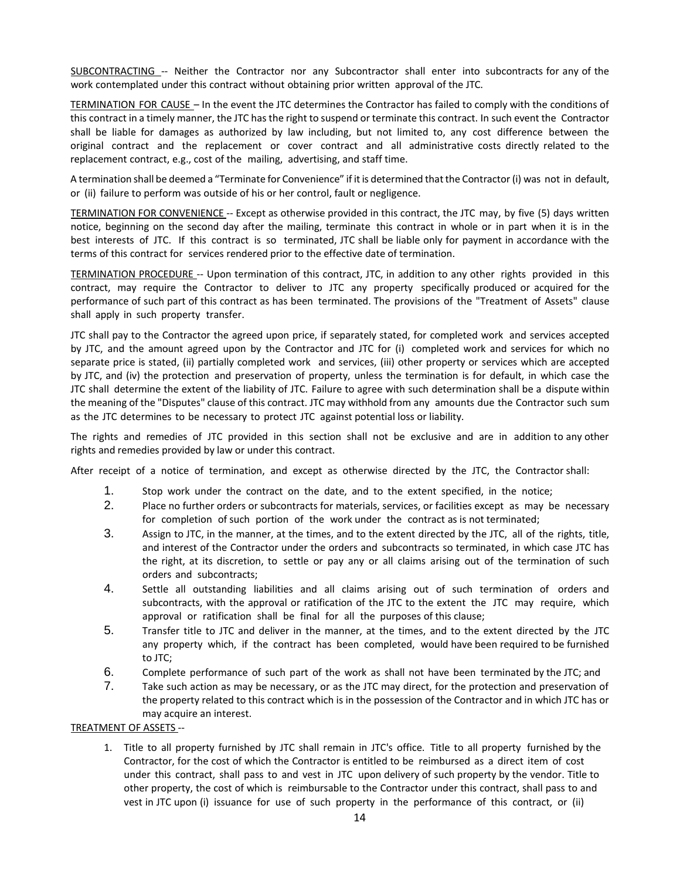SUBCONTRACTING -- Neither the Contractor nor any Subcontractor shall enter into subcontracts for any of the work contemplated under this contract without obtaining prior written approval of the JTC.

TERMINATION FOR CAUSE – In the event the JTC determines the Contractor has failed to comply with the conditions of this contract in a timely manner, the JTC has the right to suspend or terminate this contract. In such event the Contractor shall be liable for damages as authorized by law including, but not limited to, any cost difference between the original contract and the replacement or cover contract and all administrative costs directly related to the replacement contract, e.g., cost of the mailing, advertising, and staff time.

A termination shall be deemed a "Terminate for Convenience" if it is determined that the Contractor (i) was not in default, or (ii) failure to perform was outside of his or her control, fault or negligence.

TERMINATION FOR CONVENIENCE -- Except as otherwise provided in this contract, the JTC may, by five (5) days written notice, beginning on the second day after the mailing, terminate this contract in whole or in part when it is in the best interests of JTC. If this contract is so terminated, JTC shall be liable only for payment in accordance with the terms of this contract for services rendered prior to the effective date of termination.

TERMINATION PROCEDURE -- Upon termination of this contract, JTC, in addition to any other rights provided in this contract, may require the Contractor to deliver to JTC any property specifically produced or acquired for the performance of such part of this contract as has been terminated. The provisions of the "Treatment of Assets" clause shall apply in such property transfer.

JTC shall pay to the Contractor the agreed upon price, if separately stated, for completed work and services accepted by JTC, and the amount agreed upon by the Contractor and JTC for (i) completed work and services for which no separate price is stated, (ii) partially completed work and services, (iii) other property or services which are accepted by JTC, and (iv) the protection and preservation of property, unless the termination is for default, in which case the JTC shall determine the extent of the liability of JTC. Failure to agree with such determination shall be a dispute within the meaning of the "Disputes" clause of this contract. JTC may withhold from any amounts due the Contractor such sum as the JTC determines to be necessary to protect JTC against potential loss or liability.

The rights and remedies of JTC provided in this section shall not be exclusive and are in addition to any other rights and remedies provided by law or under this contract.

After receipt of a notice of termination, and except as otherwise directed by the JTC, the Contractor shall:

- 1. Stop work under the contract on the date, and to the extent specified, in the notice;
- 2. Place no further orders or subcontracts for materials, services, or facilities except as may be necessary for completion of such portion of the work under the contract as is not terminated;
- 3. Assign to JTC, in the manner, at the times, and to the extent directed by the JTC, all of the rights, title, and interest of the Contractor under the orders and subcontracts so terminated, in which case JTC has the right, at its discretion, to settle or pay any or all claims arising out of the termination of such orders and subcontracts;
- 4. Settle all outstanding liabilities and all claims arising out of such termination of orders and subcontracts, with the approval or ratification of the JTC to the extent the JTC may require, which approval or ratification shall be final for all the purposes of this clause;
- 5. Transfer title to JTC and deliver in the manner, at the times, and to the extent directed by the JTC any property which, if the contract has been completed, would have been required to be furnished to JTC;
- 6. Complete performance of such part of the work as shall not have been terminated by the JTC; and
- 7. Take such action as may be necessary, or as the JTC may direct, for the protection and preservation of the property related to this contract which is in the possession of the Contractor and in which JTC has or may acquire an interest.

#### TREATMENT OF ASSETS --

1. Title to all property furnished by JTC shall remain in JTC's office. Title to all property furnished by the Contractor, for the cost of which the Contractor is entitled to be reimbursed as a direct item of cost under this contract, shall pass to and vest in JTC upon delivery of such property by the vendor. Title to other property, the cost of which is reimbursable to the Contractor under this contract, shall pass to and vest in JTC upon (i) issuance for use of such property in the performance of this contract, or (ii)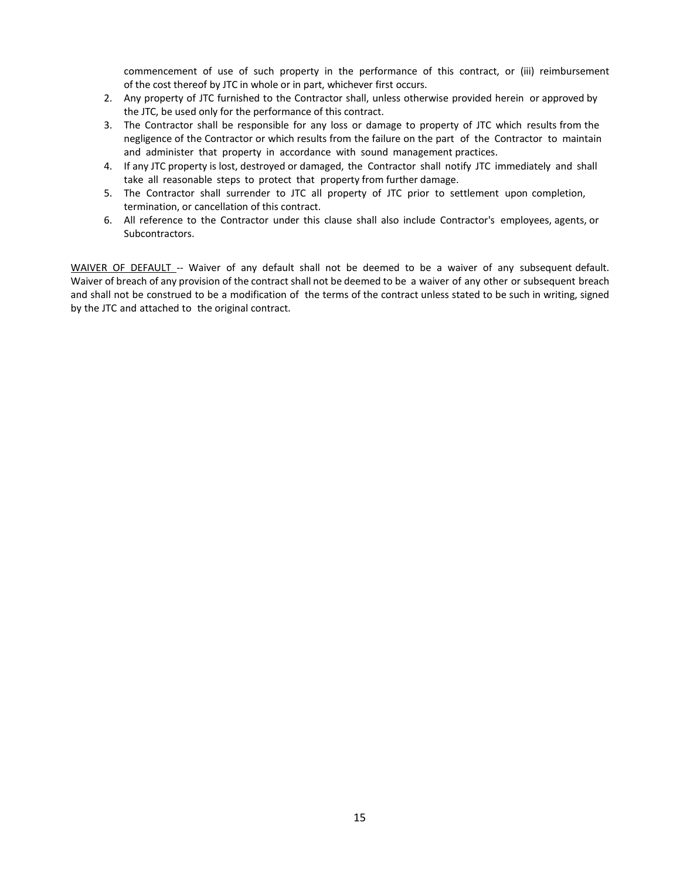commencement of use of such property in the performance of this contract, or (iii) reimbursement of the cost thereof by JTC in whole or in part, whichever first occurs.

- 2. Any property of JTC furnished to the Contractor shall, unless otherwise provided herein or approved by the JTC, be used only for the performance of this contract.
- 3. The Contractor shall be responsible for any loss or damage to property of JTC which results from the negligence of the Contractor or which results from the failure on the part of the Contractor to maintain and administer that property in accordance with sound management practices.
- 4. If any JTC property is lost, destroyed or damaged, the Contractor shall notify JTC immediately and shall take all reasonable steps to protect that property from further damage.
- 5. The Contractor shall surrender to JTC all property of JTC prior to settlement upon completion, termination, or cancellation of this contract.
- 6. All reference to the Contractor under this clause shall also include Contractor's employees, agents, or Subcontractors.

WAIVER OF DEFAULT -- Waiver of any default shall not be deemed to be a waiver of any subsequent default. Waiver of breach of any provision of the contract shall not be deemed to be a waiver of any other or subsequent breach and shall not be construed to be a modification of the terms of the contract unless stated to be such in writing, signed by the JTC and attached to the original contract.